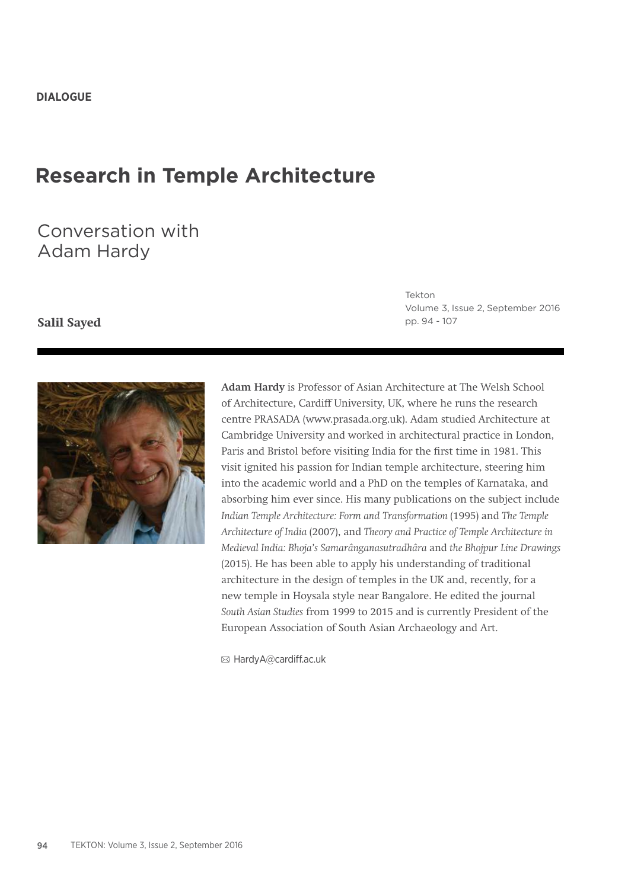# **Research in Temple Architecture**

# Conversation with Adam Hardy

## **Salil Sayed**

Tekton Volume 3, Issue 2, September 2016 pp. 94 - 107



**Adam Hardy** is Professor of Asian Architecture at The Welsh School of Architecture, Cardiff University, UK, where he runs the research centre PRASADA (www.prasada.org.uk). Adam studied Architecture at Cambridge University and worked in architectural practice in London, Paris and Bristol before visiting India for the first time in 1981. This visit ignited his passion for Indian temple architecture, steering him into the academic world and a PhD on the temples of Karnataka, and absorbing him ever since. His many publications on the subject include *Indian Temple Architecture: Form and Transformation* (1995) and *The Temple Architecture of India* (2007), and *Theory and Practice of Temple Architecture in Medieval India: Bhoja's Samarânganasutradhâra* and *the Bhojpur Line Drawings*  (2015). He has been able to apply his understanding of traditional architecture in the design of temples in the UK and, recently, for a new temple in Hoysala style near Bangalore. He edited the journal *South Asian Studies* from 1999 to 2015 and is currently President of the European Association of South Asian Archaeology and Art.

HardyA@cardiff.ac.uk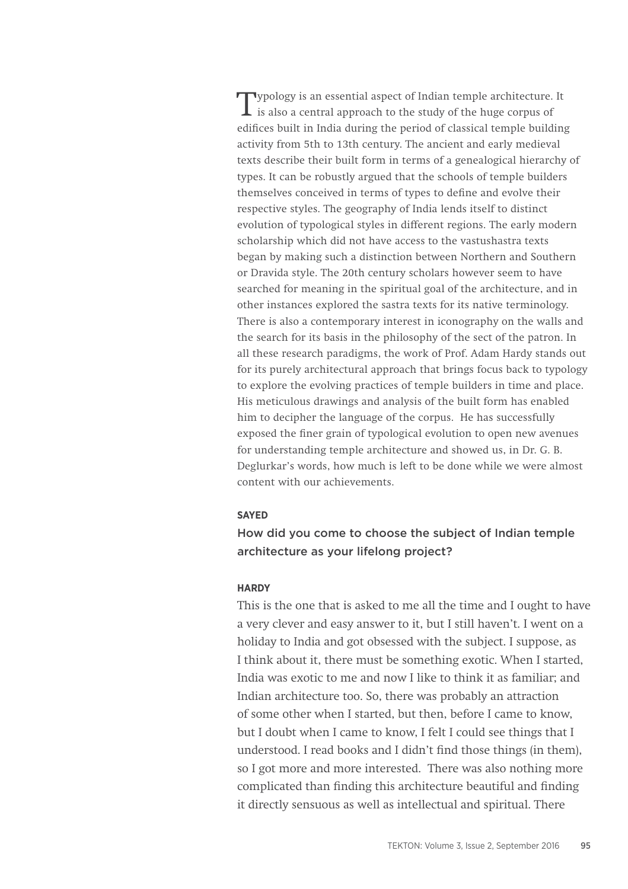Typology is an essential aspect of Indian temple architecture. It is also a central approach to the study of the huge corpus of edifices built in India during the period of classical temple building activity from 5th to 13th century. The ancient and early medieval texts describe their built form in terms of a genealogical hierarchy of types. It can be robustly argued that the schools of temple builders themselves conceived in terms of types to define and evolve their respective styles. The geography of India lends itself to distinct evolution of typological styles in different regions. The early modern scholarship which did not have access to the vastushastra texts began by making such a distinction between Northern and Southern or Dravida style. The 20th century scholars however seem to have searched for meaning in the spiritual goal of the architecture, and in other instances explored the sastra texts for its native terminology. There is also a contemporary interest in iconography on the walls and the search for its basis in the philosophy of the sect of the patron. In all these research paradigms, the work of Prof. Adam Hardy stands out for its purely architectural approach that brings focus back to typology to explore the evolving practices of temple builders in time and place. His meticulous drawings and analysis of the built form has enabled him to decipher the language of the corpus. He has successfully exposed the finer grain of typological evolution to open new avenues for understanding temple architecture and showed us, in Dr. G. B. Deglurkar's words, how much is left to be done while we were almost content with our achievements.

### **SAYED**

## How did you come to choose the subject of Indian temple architecture as your lifelong project?

#### **HARDY**

This is the one that is asked to me all the time and I ought to have a very clever and easy answer to it, but I still haven't. I went on a holiday to India and got obsessed with the subject. I suppose, as I think about it, there must be something exotic. When I started, India was exotic to me and now I like to think it as familiar; and Indian architecture too. So, there was probably an attraction of some other when I started, but then, before I came to know, but I doubt when I came to know, I felt I could see things that I understood. I read books and I didn't find those things (in them), so I got more and more interested. There was also nothing more complicated than finding this architecture beautiful and finding it directly sensuous as well as intellectual and spiritual. There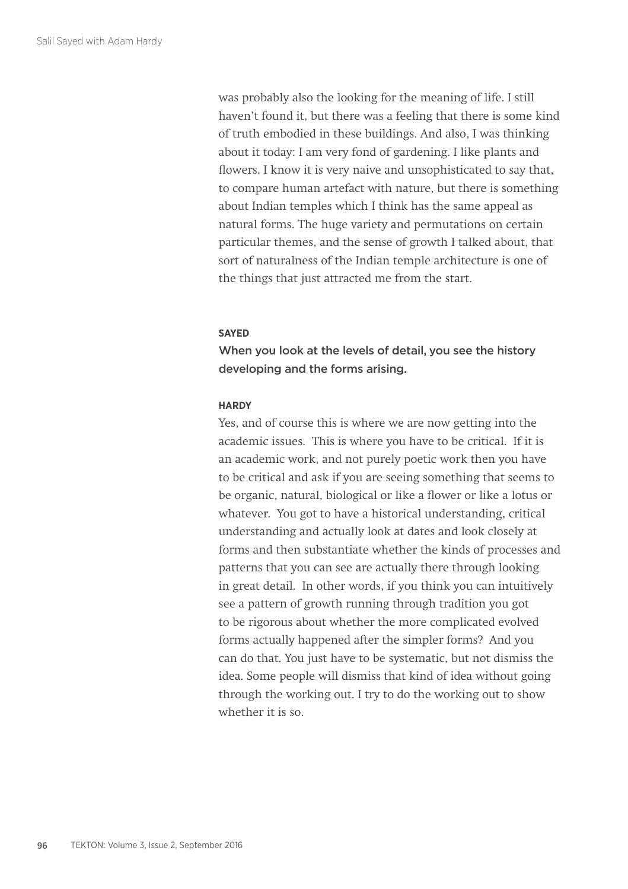was probably also the looking for the meaning of life. I still haven't found it, but there was a feeling that there is some kind of truth embodied in these buildings. And also, I was thinking about it today: I am very fond of gardening. I like plants and flowers. I know it is very naive and unsophisticated to say that, to compare human artefact with nature, but there is something about Indian temples which I think has the same appeal as natural forms. The huge variety and permutations on certain particular themes, and the sense of growth I talked about, that sort of naturalness of the Indian temple architecture is one of the things that just attracted me from the start.

## **SAYED**

When you look at the levels of detail, you see the history developing and the forms arising.

## **HARDY**

Yes, and of course this is where we are now getting into the academic issues. This is where you have to be critical. If it is an academic work, and not purely poetic work then you have to be critical and ask if you are seeing something that seems to be organic, natural, biological or like a flower or like a lotus or whatever. You got to have a historical understanding, critical understanding and actually look at dates and look closely at forms and then substantiate whether the kinds of processes and patterns that you can see are actually there through looking in great detail. In other words, if you think you can intuitively see a pattern of growth running through tradition you got to be rigorous about whether the more complicated evolved forms actually happened after the simpler forms? And you can do that. You just have to be systematic, but not dismiss the idea. Some people will dismiss that kind of idea without going through the working out. I try to do the working out to show whether it is so.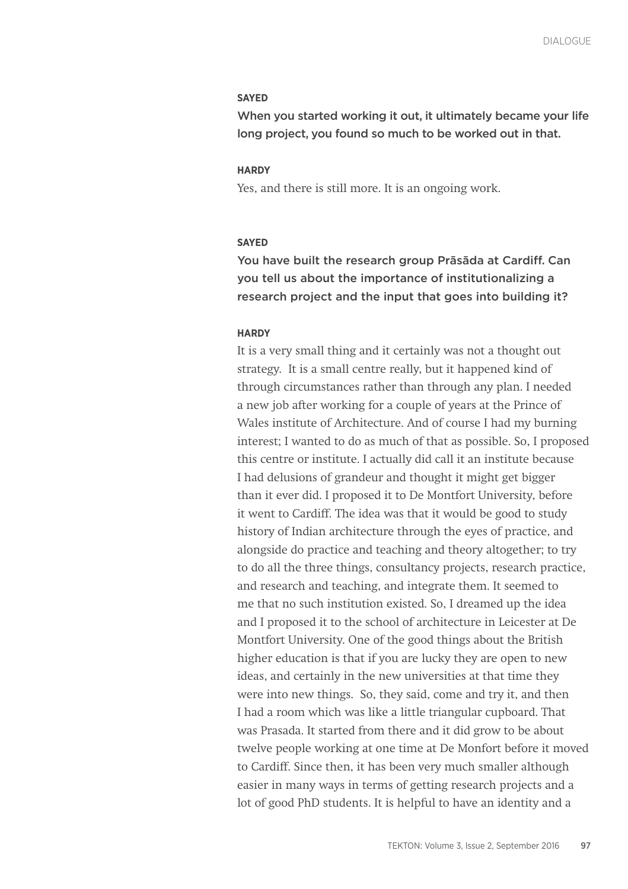#### **SAYED**

When you started working it out, it ultimately became your life long project, you found so much to be worked out in that.

#### **HARDY**

Yes, and there is still more. It is an ongoing work.

#### **SAYED**

You have built the research group Prāsāda at Cardiff. Can you tell us about the importance of institutionalizing a research project and the input that goes into building it?

## **HARDY**

It is a very small thing and it certainly was not a thought out strategy. It is a small centre really, but it happened kind of through circumstances rather than through any plan. I needed a new job after working for a couple of years at the Prince of Wales institute of Architecture. And of course I had my burning interest; I wanted to do as much of that as possible. So, I proposed this centre or institute. I actually did call it an institute because I had delusions of grandeur and thought it might get bigger than it ever did. I proposed it to De Montfort University, before it went to Cardiff. The idea was that it would be good to study history of Indian architecture through the eyes of practice, and alongside do practice and teaching and theory altogether; to try to do all the three things, consultancy projects, research practice, and research and teaching, and integrate them. It seemed to me that no such institution existed. So, I dreamed up the idea and I proposed it to the school of architecture in Leicester at De Montfort University. One of the good things about the British higher education is that if you are lucky they are open to new ideas, and certainly in the new universities at that time they were into new things. So, they said, come and try it, and then I had a room which was like a little triangular cupboard. That was Prasada. It started from there and it did grow to be about twelve people working at one time at De Monfort before it moved to Cardiff. Since then, it has been very much smaller although easier in many ways in terms of getting research projects and a lot of good PhD students. It is helpful to have an identity and a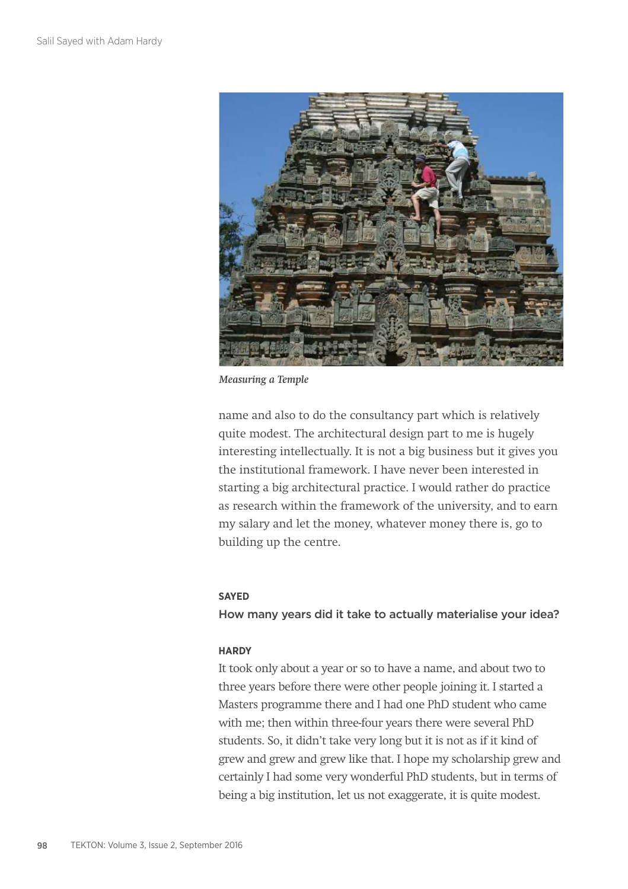

*Measuring a Temple*

name and also to do the consultancy part which is relatively quite modest. The architectural design part to me is hugely interesting intellectually. It is not a big business but it gives you the institutional framework. I have never been interested in starting a big architectural practice. I would rather do practice as research within the framework of the university, and to earn my salary and let the money, whatever money there is, go to building up the centre.

## **SAYED**

How many years did it take to actually materialise your idea?

## **HARDY**

It took only about a year or so to have a name, and about two to three years before there were other people joining it. I started a Masters programme there and I had one PhD student who came with me; then within three-four years there were several PhD students. So, it didn't take very long but it is not as if it kind of grew and grew and grew like that. I hope my scholarship grew and certainly I had some very wonderful PhD students, but in terms of being a big institution, let us not exaggerate, it is quite modest.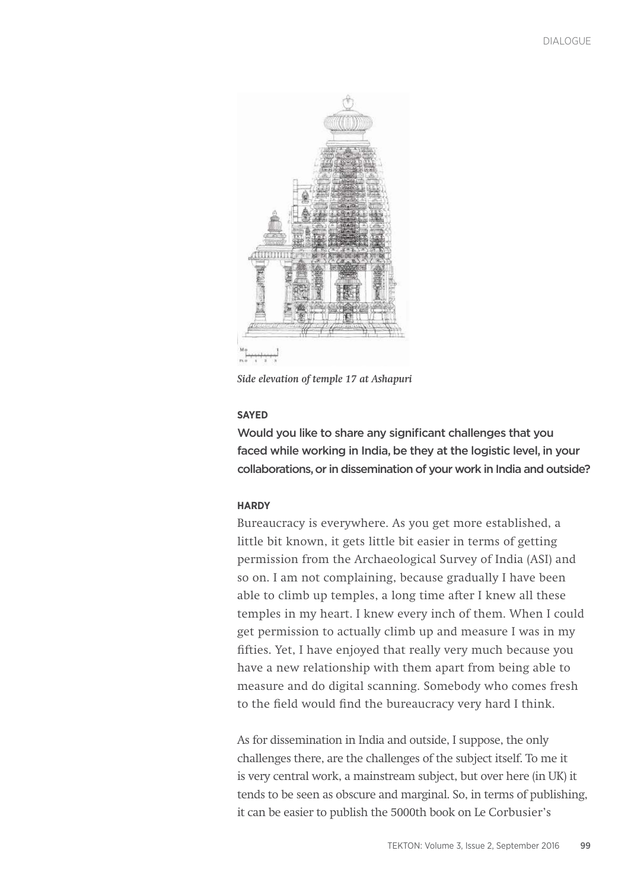

*Side elevation of temple 17 at Ashapuri*

## **SAYED**

Would you like to share any significant challenges that you faced while working in India, be they at the logistic level, in your collaborations, or in dissemination of your work in India and outside?

## **HARDY**

Bureaucracy is everywhere. As you get more established, a little bit known, it gets little bit easier in terms of getting permission from the Archaeological Survey of India (ASI) and so on. I am not complaining, because gradually I have been able to climb up temples, a long time after I knew all these temples in my heart. I knew every inch of them. When I could get permission to actually climb up and measure I was in my fifties. Yet, I have enjoyed that really very much because you have a new relationship with them apart from being able to measure and do digital scanning. Somebody who comes fresh to the field would find the bureaucracy very hard I think.

As for dissemination in India and outside, I suppose, the only challenges there, are the challenges of the subject itself. To me it is very central work, a mainstream subject, but over here (in UK) it tends to be seen as obscure and marginal. So, in terms of publishing, it can be easier to publish the 5000th book on Le Corbusier's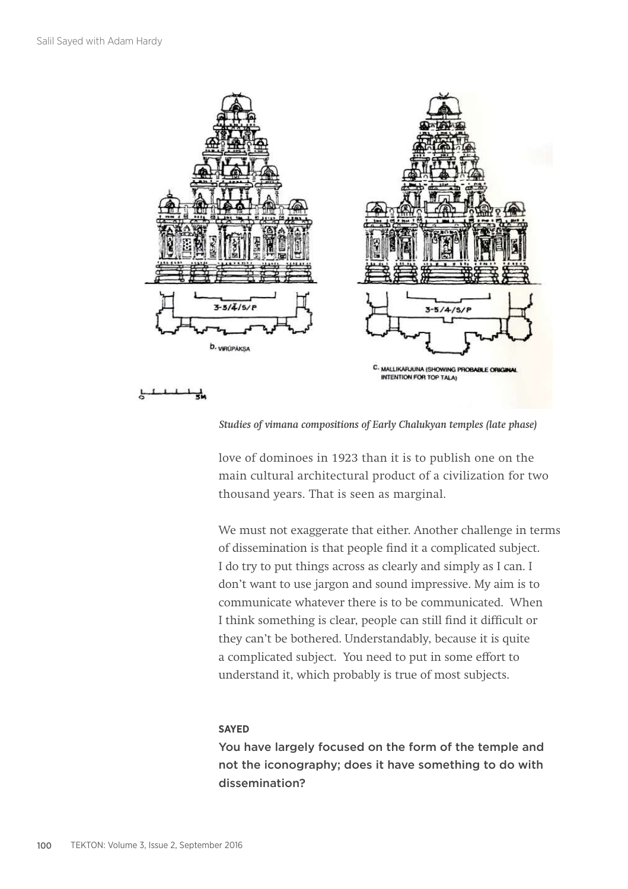

*Studies of vimana compositions of Early Chalukyan temples (late phase)*

love of dominoes in 1923 than it is to publish one on the main cultural architectural product of a civilization for two thousand years. That is seen as marginal.

We must not exaggerate that either. Another challenge in terms of dissemination is that people find it a complicated subject. I do try to put things across as clearly and simply as I can. I don't want to use jargon and sound impressive. My aim is to communicate whatever there is to be communicated. When I think something is clear, people can still find it difficult or they can't be bothered. Understandably, because it is quite a complicated subject. You need to put in some effort to understand it, which probably is true of most subjects.

## **SAYED**

You have largely focused on the form of the temple and not the iconography; does it have something to do with dissemination?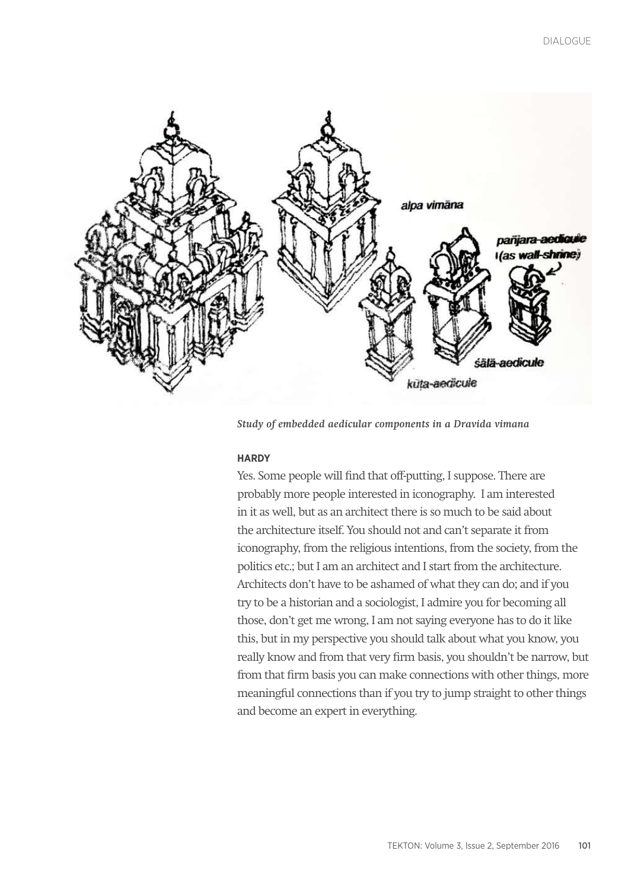

*Study of embedded aedicular components in a Dravida vimana*

## **HARDY**

Yes. Some people will find that off-putting, I suppose. There are probably more people interested in iconography. I am interested in it as well, but as an architect there is so much to be said about the architecture itself. You should not and can't separate it from iconography, from the religious intentions, from the society, from the politics etc.; but I am an architect and I start from the architecture. Architects don't have to be ashamed of what they can do; and if you try to be a historian and a sociologist, I admire you for becoming all those, don't get me wrong, I am not saying everyone has to do it like this, but in my perspective you should talk about what you know, you really know and from that very firm basis, you shouldn't be narrow, but from that firm basis you can make connections with other things, more meaningful connections than if you try to jump straight to other things and become an expert in everything.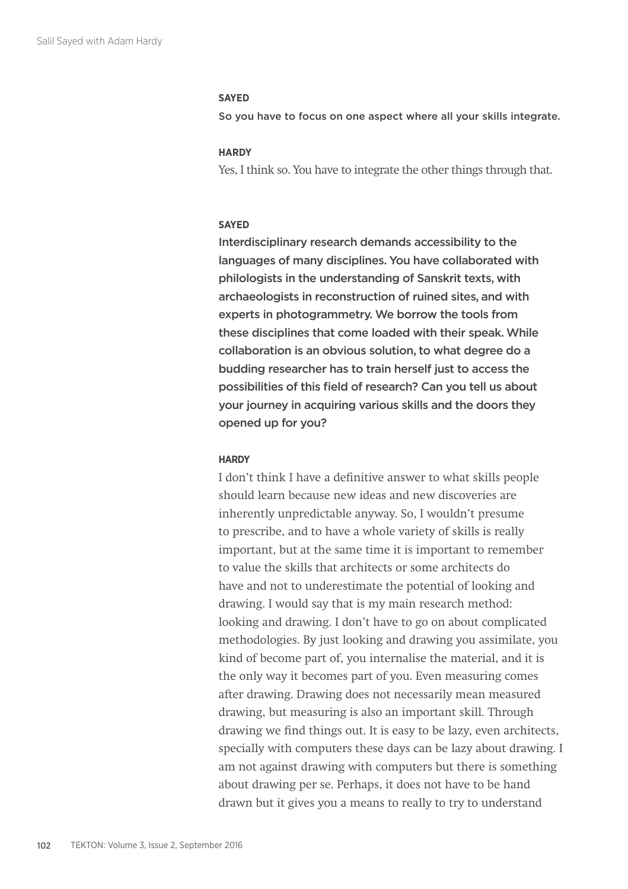#### **SAYED**

So you have to focus on one aspect where all your skills integrate.

## **HARDY**

Yes, I think so. You have to integrate the other things through that.

#### **SAYED**

Interdisciplinary research demands accessibility to the languages of many disciplines. You have collaborated with philologists in the understanding of Sanskrit texts, with archaeologists in reconstruction of ruined sites, and with experts in photogrammetry. We borrow the tools from these disciplines that come loaded with their speak. While collaboration is an obvious solution, to what degree do a budding researcher has to train herself just to access the possibilities of this field of research? Can you tell us about your journey in acquiring various skills and the doors they opened up for you?

#### **HARDY**

I don't think I have a definitive answer to what skills people should learn because new ideas and new discoveries are inherently unpredictable anyway. So, I wouldn't presume to prescribe, and to have a whole variety of skills is really important, but at the same time it is important to remember to value the skills that architects or some architects do have and not to underestimate the potential of looking and drawing. I would say that is my main research method: looking and drawing. I don't have to go on about complicated methodologies. By just looking and drawing you assimilate, you kind of become part of, you internalise the material, and it is the only way it becomes part of you. Even measuring comes after drawing. Drawing does not necessarily mean measured drawing, but measuring is also an important skill. Through drawing we find things out. It is easy to be lazy, even architects, specially with computers these days can be lazy about drawing. I am not against drawing with computers but there is something about drawing per se. Perhaps, it does not have to be hand drawn but it gives you a means to really to try to understand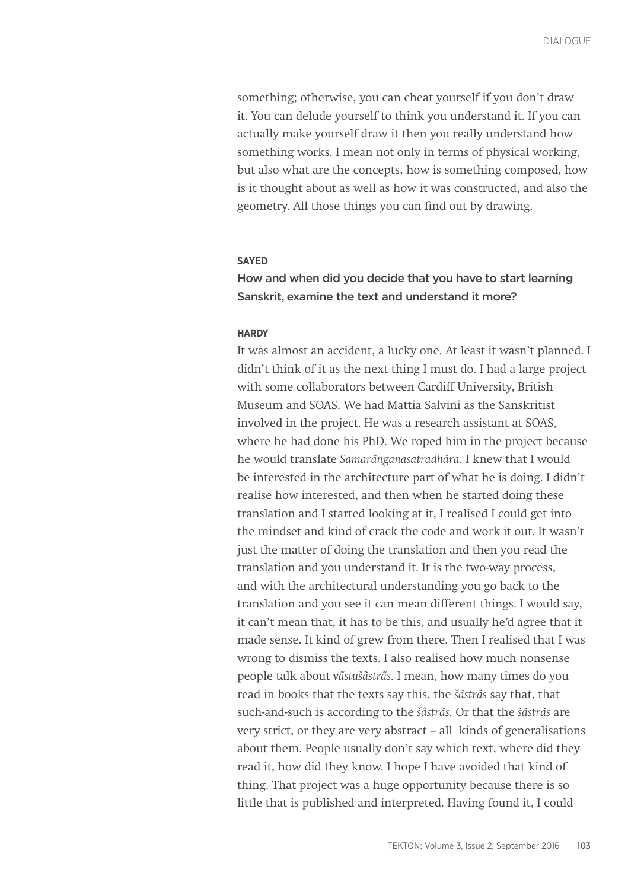something; otherwise, you can cheat yourself if you don't draw it. You can delude yourself to think you understand it. If you can actually make yourself draw it then you really understand how something works. I mean not only in terms of physical working, but also what are the concepts, how is something composed, how is it thought about as well as how it was constructed, and also the geometry. All those things you can find out by drawing.

## **SAYED**

How and when did you decide that you have to start learning Sanskrit, examine the text and understand it more?

### **HARDY**

It was almost an accident, a lucky one. At least it wasn't planned. I didn't think of it as the next thing I must do. I had a large project with some collaborators between Cardiff University, British Museum and SOAS. We had Mattia Salvini as the Sanskritist involved in the project. He was a research assistant at SOAS, where he had done his PhD. We roped him in the project because he would translate *Samarãnganasatradhãra*. I knew that I would be interested in the architecture part of what he is doing. I didn't realise how interested, and then when he started doing these translation and I started looking at it, I realised I could get into the mindset and kind of crack the code and work it out. It wasn't just the matter of doing the translation and then you read the translation and you understand it. It is the two-way process, and with the architectural understanding you go back to the translation and you see it can mean different things. I would say, it can't mean that, it has to be this, and usually he'd agree that it made sense. It kind of grew from there. Then I realised that I was wrong to dismiss the texts. I also realised how much nonsense people talk about *vãstušãstrãs*. I mean, how many times do you read in books that the texts say this, the *šãstrãs* say that, that such-and-such is according to the *šãstrãs*. Or that the *šãstrãs* are very strict, or they are very abstract – all kinds of generalisations about them. People usually don't say which text, where did they read it, how did they know. I hope I have avoided that kind of thing. That project was a huge opportunity because there is so little that is published and interpreted. Having found it, I could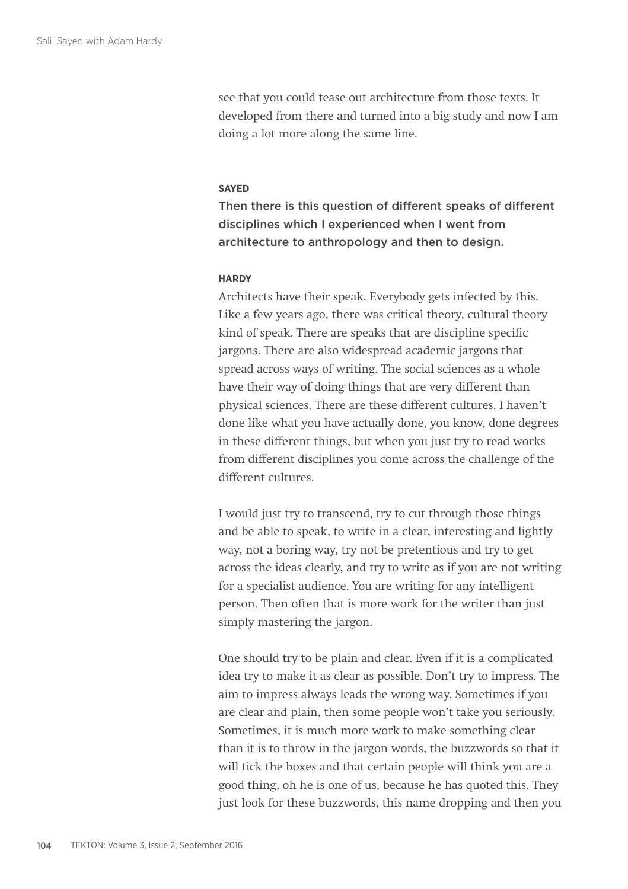see that you could tease out architecture from those texts. It developed from there and turned into a big study and now I am doing a lot more along the same line.

## **SAYED**

Then there is this question of different speaks of different disciplines which I experienced when I went from architecture to anthropology and then to design.

## **HARDY**

Architects have their speak. Everybody gets infected by this. Like a few years ago, there was critical theory, cultural theory kind of speak. There are speaks that are discipline specific jargons. There are also widespread academic jargons that spread across ways of writing. The social sciences as a whole have their way of doing things that are very different than physical sciences. There are these different cultures. I haven't done like what you have actually done, you know, done degrees in these different things, but when you just try to read works from different disciplines you come across the challenge of the different cultures.

I would just try to transcend, try to cut through those things and be able to speak, to write in a clear, interesting and lightly way, not a boring way, try not be pretentious and try to get across the ideas clearly, and try to write as if you are not writing for a specialist audience. You are writing for any intelligent person. Then often that is more work for the writer than just simply mastering the jargon.

One should try to be plain and clear. Even if it is a complicated idea try to make it as clear as possible. Don't try to impress. The aim to impress always leads the wrong way. Sometimes if you are clear and plain, then some people won't take you seriously. Sometimes, it is much more work to make something clear than it is to throw in the jargon words, the buzzwords so that it will tick the boxes and that certain people will think you are a good thing, oh he is one of us, because he has quoted this. They just look for these buzzwords, this name dropping and then you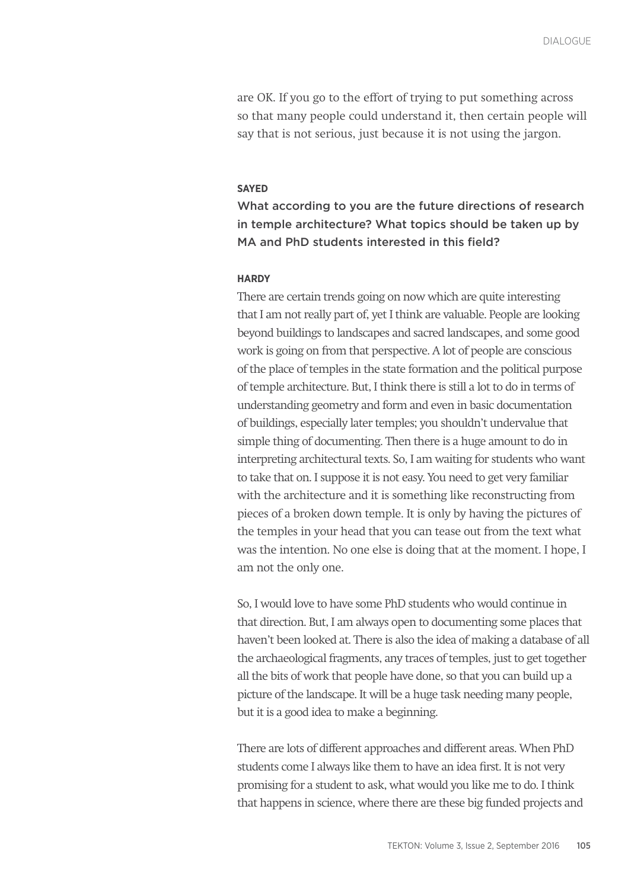are OK. If you go to the effort of trying to put something across so that many people could understand it, then certain people will say that is not serious, just because it is not using the jargon.

## **SAYED**

What according to you are the future directions of research in temple architecture? What topics should be taken up by MA and PhD students interested in this field?

#### **HARDY**

There are certain trends going on now which are quite interesting that I am not really part of, yet I think are valuable. People are looking beyond buildings to landscapes and sacred landscapes, and some good work is going on from that perspective. A lot of people are conscious of the place of temples in the state formation and the political purpose of temple architecture. But, I think there is still a lot to do in terms of understanding geometry and form and even in basic documentation of buildings, especially later temples; you shouldn't undervalue that simple thing of documenting. Then there is a huge amount to do in interpreting architectural texts. So, I am waiting for students who want to take that on. I suppose it is not easy. You need to get very familiar with the architecture and it is something like reconstructing from pieces of a broken down temple. It is only by having the pictures of the temples in your head that you can tease out from the text what was the intention. No one else is doing that at the moment. I hope, I am not the only one.

So, I would love to have some PhD students who would continue in that direction. But, I am always open to documenting some places that haven't been looked at. There is also the idea of making a database of all the archaeological fragments, any traces of temples, just to get together all the bits of work that people have done, so that you can build up a picture of the landscape. It will be a huge task needing many people, but it is a good idea to make a beginning.

There are lots of different approaches and different areas. When PhD students come I always like them to have an idea first. It is not very promising for a student to ask, what would you like me to do. I think that happens in science, where there are these big funded projects and